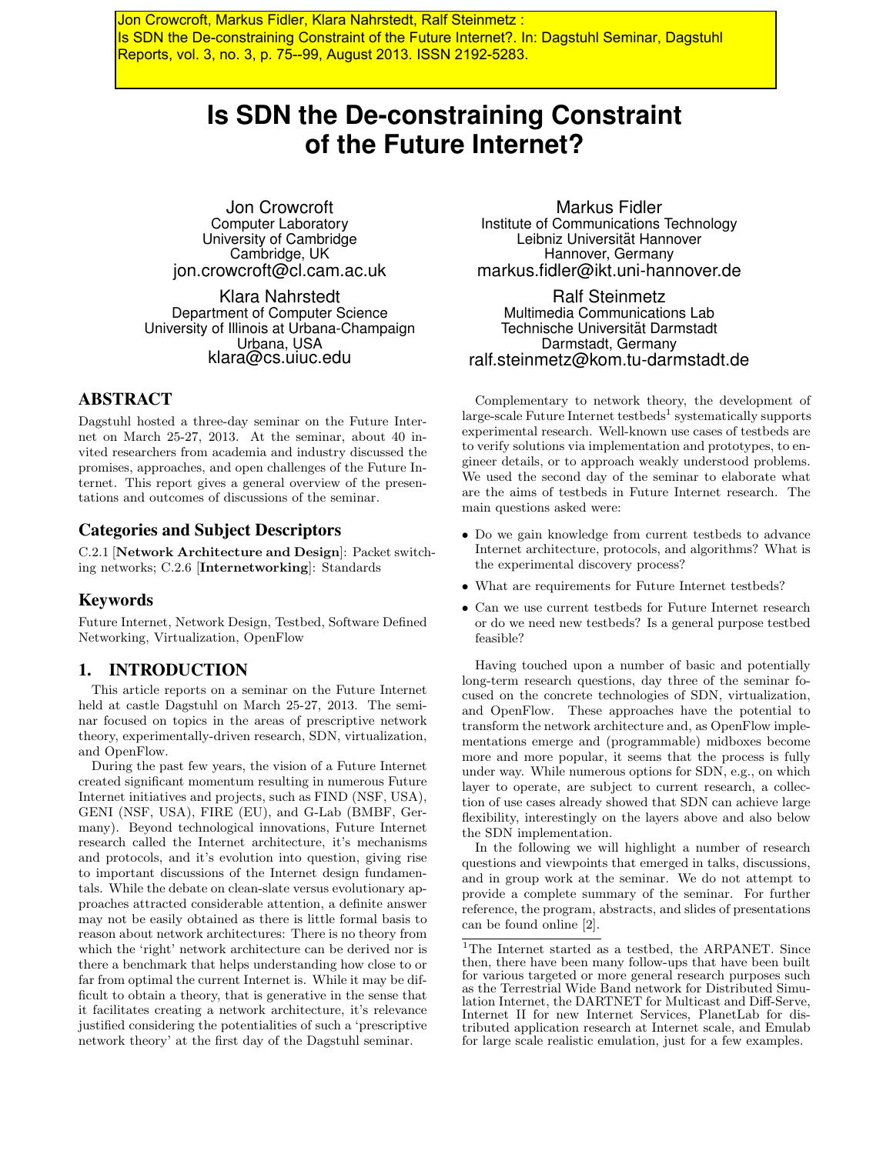Jon Crowcroft, Markus Fidler, Klara Nahrstedt, Ralf Steinmetz : Is SDN the De-constraining Constraint of the Future Internet?. In: Dagstuhl Seminar, Dagstuhl Reports, vol. 3, no. 3, p. 75--99, August 2013. ISSN 2192-5283.

# **Is SDN the De-constraining Constraint of the Future Internet?**

Jon Crowcroft Computer Laboratory University of Cambridge Cambridge, UK jon.crowcroft@cl.cam.ac.uk

Klara Nahrstedt Department of Computer Science University of Illinois at Urbana-Champaign Urbana, USA klara@cs.uiuc.edu

# ABSTRACT

Dagstuhl hosted a three-day seminar on the Future Internet on March 25-27, 2013. At the seminar, about 40 invited researchers from academia and industry discussed the promises, approaches, and open challenges of the Future Internet. This report gives a general overview of the presentations and outcomes of discussions of the seminar.

## Categories and Subject Descriptors

C.2.1 [Network Architecture and Design]: Packet switching networks; C.2.6 [Internetworking]: Standards

#### Keywords

Future Internet, Network Design, Testbed, Software Defined Networking, Virtualization, OpenFlow

#### 1. INTRODUCTION

This article reports on a seminar on the Future Internet held at castle Dagstuhl on March 25-27, 2013. The seminar focused on topics in the areas of prescriptive network theory, experimentally-driven research, SDN, virtualization, and OpenFlow.

During the past few years, the vision of a Future Internet created significant momentum resulting in numerous Future Internet initiatives and projects, such as FIND (NSF, USA), GENI (NSF, USA), FIRE (EU), and G-Lab (BMBF, Germany). Beyond technological innovations, Future Internet research called the Internet architecture, it's mechanisms and protocols, and it's evolution into question, giving rise to important discussions of the Internet design fundamentals. While the debate on clean-slate versus evolutionary approaches attracted considerable attention, a definite answer may not be easily obtained as there is little formal basis to reason about network architectures: There is no theory from which the 'right' network architecture can be derived nor is there a benchmark that helps understanding how close to or far from optimal the current Internet is. While it may be difficult to obtain a theory, that is generative in the sense that it facilitates creating a network architecture, it's relevance justified considering the potentialities of such a 'prescriptive network theory' at the first day of the Dagstuhl seminar.

Markus Fidler Institute of Communications Technology Leibniz Universität Hannover Hannover, Germany markus.fidler@ikt.uni-hannover.de

Ralf Steinmetz Multimedia Communications Lab Technische Universität Darmstadt Darmstadt, Germany ralf.steinmetz@kom.tu-darmstadt.de

Complementary to network theory, the development of large-scale Future Internet testbeds<sup>1</sup> systematically supports experimental research. Well-known use cases of testbeds are to verify solutions via implementation and prototypes, to engineer details, or to approach weakly understood problems. We used the second day of the seminar to elaborate what are the aims of testbeds in Future Internet research. The main questions asked were:

- Do we gain knowledge from current testbeds to advance Internet architecture, protocols, and algorithms? What is the experimental discovery process?
- What are requirements for Future Internet testbeds?
- Can we use current testbeds for Future Internet research or do we need new testbeds? Is a general purpose testbed feasible?

Having touched upon a number of basic and potentially long-term research questions, day three of the seminar focused on the concrete technologies of SDN, virtualization, and OpenFlow. These approaches have the potential to transform the network architecture and, as OpenFlow implementations emerge and (programmable) midboxes become more and more popular, it seems that the process is fully under way. While numerous options for SDN, e.g., on which layer to operate, are subject to current research, a collection of use cases already showed that SDN can achieve large flexibility, interestingly on the layers above and also below the SDN implementation.

In the following we will highlight a number of research questions and viewpoints that emerged in talks, discussions, and in group work at the seminar. We do not attempt to provide a complete summary of the seminar. For further reference, the program, abstracts, and slides of presentations can be found online [2].

<sup>&</sup>lt;sup>1</sup>The Internet started as a testbed, the ARPANET. Since then, there have been many follow-ups that have been built for various targeted or more general research purposes such as the Terrestrial Wide Band network for Distributed Simulation Internet, the DARTNET for Multicast and Diff-Serve, Internet II for new Internet Services, PlanetLab for distributed application research at Internet scale, and Emulab for large scale realistic emulation, just for a few examples.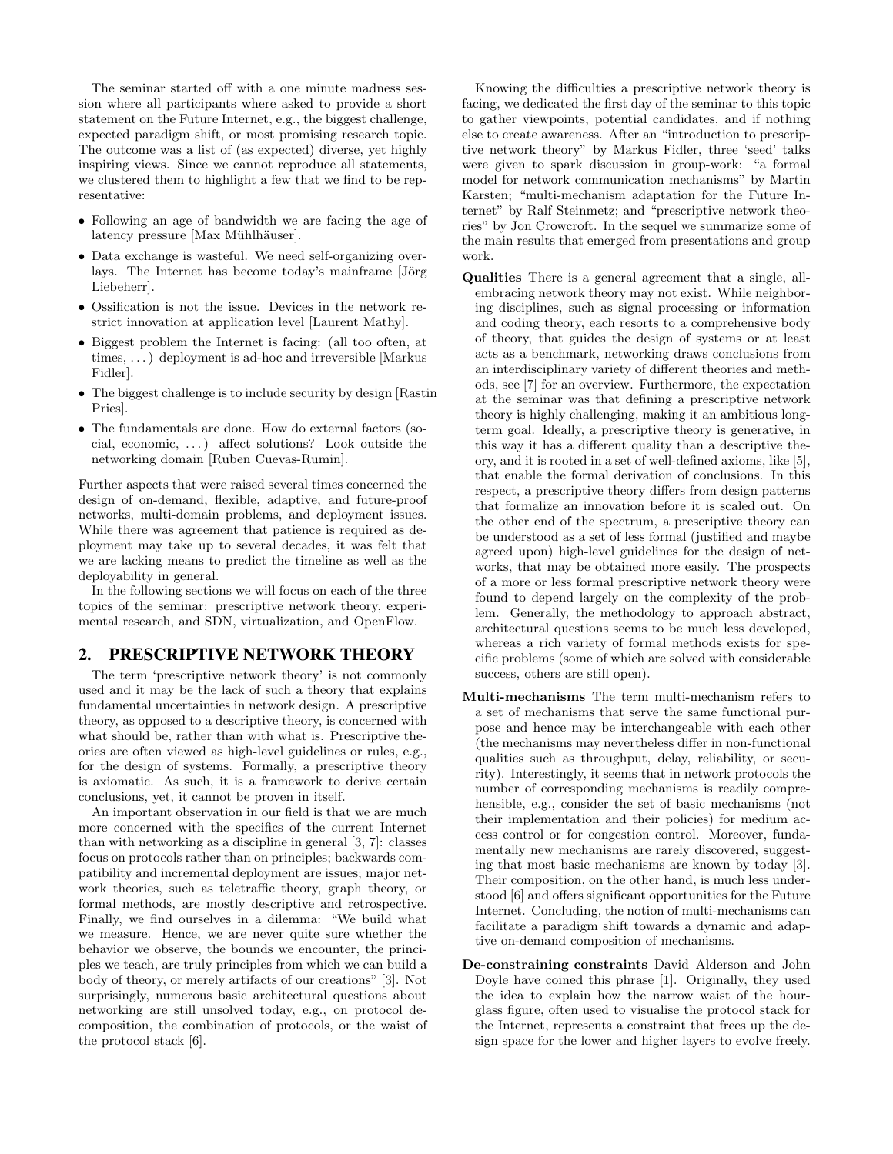The seminar started off with a one minute madness session where all participants where asked to provide a short statement on the Future Internet, e.g., the biggest challenge, expected paradigm shift, or most promising research topic. The outcome was a list of (as expected) diverse, yet highly inspiring views. Since we cannot reproduce all statements, we clustered them to highlight a few that we find to be representative:

- Following an age of bandwidth we are facing the age of latency pressure [Max Mühlhäuser].
- Data exchange is wasteful. We need self-organizing overlays. The Internet has become today's mainframe [Jörg Liebeherr].
- Ossification is not the issue. Devices in the network restrict innovation at application level [Laurent Mathy].
- Biggest problem the Internet is facing: (all too often, at times, . . . ) deployment is ad-hoc and irreversible [Markus Fidler].
- The biggest challenge is to include security by design [Rastin Pries].
- The fundamentals are done. How do external factors (social, economic, . . . ) affect solutions? Look outside the networking domain [Ruben Cuevas-Rumin].

Further aspects that were raised several times concerned the design of on-demand, flexible, adaptive, and future-proof networks, multi-domain problems, and deployment issues. While there was agreement that patience is required as deployment may take up to several decades, it was felt that we are lacking means to predict the timeline as well as the deployability in general.

In the following sections we will focus on each of the three topics of the seminar: prescriptive network theory, experimental research, and SDN, virtualization, and OpenFlow.

#### 2. PRESCRIPTIVE NETWORK THEORY

The term 'prescriptive network theory' is not commonly used and it may be the lack of such a theory that explains fundamental uncertainties in network design. A prescriptive theory, as opposed to a descriptive theory, is concerned with what should be, rather than with what is. Prescriptive theories are often viewed as high-level guidelines or rules, e.g., for the design of systems. Formally, a prescriptive theory is axiomatic. As such, it is a framework to derive certain conclusions, yet, it cannot be proven in itself.

An important observation in our field is that we are much more concerned with the specifics of the current Internet than with networking as a discipline in general [3, 7]: classes focus on protocols rather than on principles; backwards compatibility and incremental deployment are issues; major network theories, such as teletraffic theory, graph theory, or formal methods, are mostly descriptive and retrospective. Finally, we find ourselves in a dilemma: "We build what we measure. Hence, we are never quite sure whether the behavior we observe, the bounds we encounter, the principles we teach, are truly principles from which we can build a body of theory, or merely artifacts of our creations" [3]. Not surprisingly, numerous basic architectural questions about networking are still unsolved today, e.g., on protocol decomposition, the combination of protocols, or the waist of the protocol stack [6].

Knowing the difficulties a prescriptive network theory is facing, we dedicated the first day of the seminar to this topic to gather viewpoints, potential candidates, and if nothing else to create awareness. After an "introduction to prescriptive network theory" by Markus Fidler, three 'seed' talks were given to spark discussion in group-work: "a formal model for network communication mechanisms" by Martin Karsten; "multi-mechanism adaptation for the Future Internet" by Ralf Steinmetz; and "prescriptive network theories" by Jon Crowcroft. In the sequel we summarize some of the main results that emerged from presentations and group work.

- Qualities There is a general agreement that a single, allembracing network theory may not exist. While neighboring disciplines, such as signal processing or information and coding theory, each resorts to a comprehensive body of theory, that guides the design of systems or at least acts as a benchmark, networking draws conclusions from an interdisciplinary variety of different theories and methods, see [7] for an overview. Furthermore, the expectation at the seminar was that defining a prescriptive network theory is highly challenging, making it an ambitious longterm goal. Ideally, a prescriptive theory is generative, in this way it has a different quality than a descriptive theory, and it is rooted in a set of well-defined axioms, like [5], that enable the formal derivation of conclusions. In this respect, a prescriptive theory differs from design patterns that formalize an innovation before it is scaled out. On the other end of the spectrum, a prescriptive theory can be understood as a set of less formal (justified and maybe agreed upon) high-level guidelines for the design of networks, that may be obtained more easily. The prospects of a more or less formal prescriptive network theory were found to depend largely on the complexity of the problem. Generally, the methodology to approach abstract, architectural questions seems to be much less developed, whereas a rich variety of formal methods exists for specific problems (some of which are solved with considerable success, others are still open).
- Multi-mechanisms The term multi-mechanism refers to a set of mechanisms that serve the same functional purpose and hence may be interchangeable with each other (the mechanisms may nevertheless differ in non-functional qualities such as throughput, delay, reliability, or security). Interestingly, it seems that in network protocols the number of corresponding mechanisms is readily comprehensible, e.g., consider the set of basic mechanisms (not their implementation and their policies) for medium access control or for congestion control. Moreover, fundamentally new mechanisms are rarely discovered, suggesting that most basic mechanisms are known by today [3]. Their composition, on the other hand, is much less understood [6] and offers significant opportunities for the Future Internet. Concluding, the notion of multi-mechanisms can facilitate a paradigm shift towards a dynamic and adaptive on-demand composition of mechanisms.
- De-constraining constraints David Alderson and John Doyle have coined this phrase [1]. Originally, they used the idea to explain how the narrow waist of the hourglass figure, often used to visualise the protocol stack for the Internet, represents a constraint that frees up the design space for the lower and higher layers to evolve freely.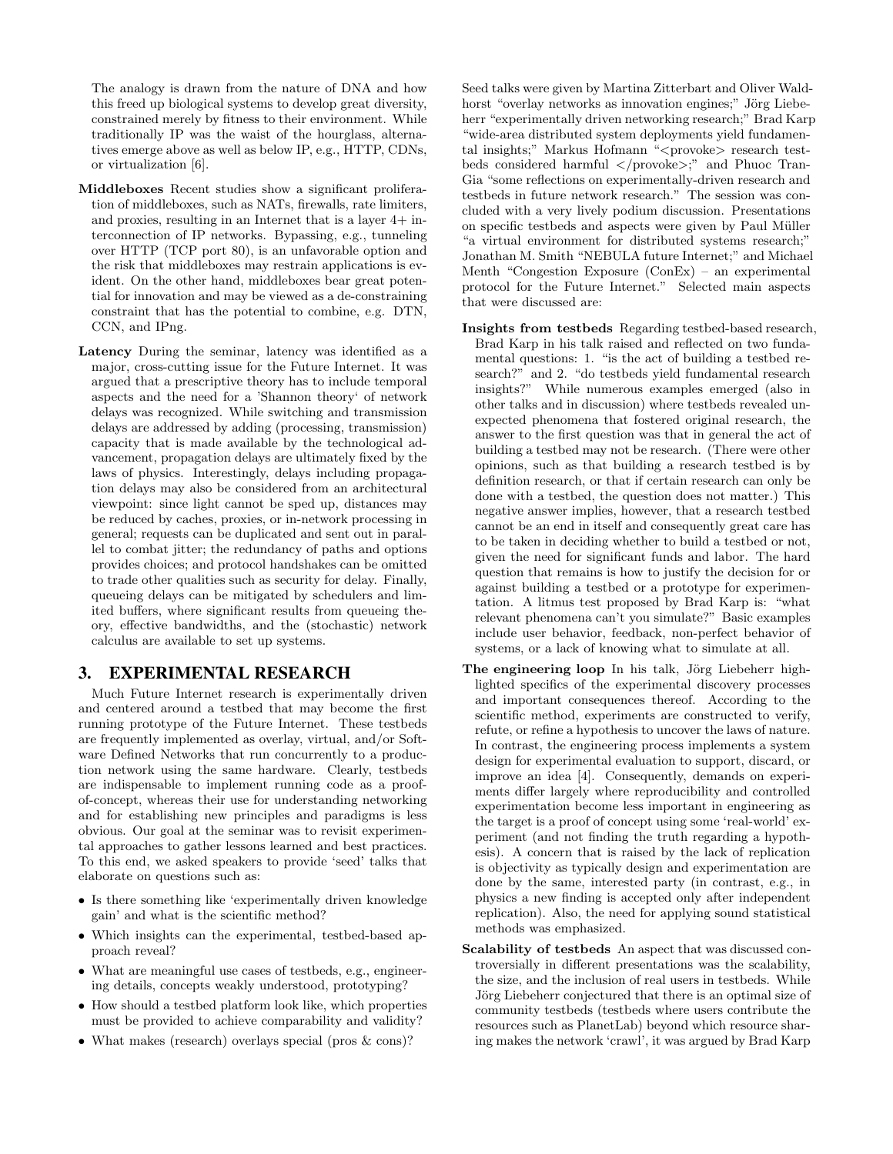The analogy is drawn from the nature of DNA and how this freed up biological systems to develop great diversity, constrained merely by fitness to their environment. While traditionally IP was the waist of the hourglass, alternatives emerge above as well as below IP, e.g., HTTP, CDNs, or virtualization [6].

- Middleboxes Recent studies show a significant proliferation of middleboxes, such as NATs, firewalls, rate limiters, and proxies, resulting in an Internet that is a layer 4+ interconnection of IP networks. Bypassing, e.g., tunneling over HTTP (TCP port 80), is an unfavorable option and the risk that middleboxes may restrain applications is evident. On the other hand, middleboxes bear great potential for innovation and may be viewed as a de-constraining constraint that has the potential to combine, e.g. DTN, CCN, and IPng.
- Latency During the seminar, latency was identified as a major, cross-cutting issue for the Future Internet. It was argued that a prescriptive theory has to include temporal aspects and the need for a 'Shannon theory' of network delays was recognized. While switching and transmission delays are addressed by adding (processing, transmission) capacity that is made available by the technological advancement, propagation delays are ultimately fixed by the laws of physics. Interestingly, delays including propagation delays may also be considered from an architectural viewpoint: since light cannot be sped up, distances may be reduced by caches, proxies, or in-network processing in general; requests can be duplicated and sent out in parallel to combat jitter; the redundancy of paths and options provides choices; and protocol handshakes can be omitted to trade other qualities such as security for delay. Finally, queueing delays can be mitigated by schedulers and limited buffers, where significant results from queueing theory, effective bandwidths, and the (stochastic) network calculus are available to set up systems.

## 3. EXPERIMENTAL RESEARCH

Much Future Internet research is experimentally driven and centered around a testbed that may become the first running prototype of the Future Internet. These testbeds are frequently implemented as overlay, virtual, and/or Software Defined Networks that run concurrently to a production network using the same hardware. Clearly, testbeds are indispensable to implement running code as a proofof-concept, whereas their use for understanding networking and for establishing new principles and paradigms is less obvious. Our goal at the seminar was to revisit experimental approaches to gather lessons learned and best practices. To this end, we asked speakers to provide 'seed' talks that elaborate on questions such as:

- Is there something like 'experimentally driven knowledge gain' and what is the scientific method?
- Which insights can the experimental, testbed-based approach reveal?
- What are meaningful use cases of testbeds, e.g., engineering details, concepts weakly understood, prototyping?
- How should a testbed platform look like, which properties must be provided to achieve comparability and validity?
- What makes (research) overlays special (pros  $\&$  cons)?

Seed talks were given by Martina Zitterbart and Oliver Waldhorst "overlay networks as innovation engines;" Jörg Liebeherr "experimentally driven networking research;" Brad Karp "wide-area distributed system deployments yield fundamental insights;" Markus Hofmann "<provoke> research testbeds considered harmful  $\langle$ /provoke>;" and Phuoc Tran-Gia "some reflections on experimentally-driven research and testbeds in future network research." The session was concluded with a very lively podium discussion. Presentations on specific testbeds and aspects were given by Paul Müller "a virtual environment for distributed systems research;" Jonathan M. Smith "NEBULA future Internet;" and Michael Menth "Congestion Exposure (ConEx) – an experimental protocol for the Future Internet." Selected main aspects that were discussed are:

- Insights from testbeds Regarding testbed-based research, Brad Karp in his talk raised and reflected on two fundamental questions: 1. "is the act of building a testbed research?" and 2. "do testbeds yield fundamental research insights?" While numerous examples emerged (also in other talks and in discussion) where testbeds revealed unexpected phenomena that fostered original research, the answer to the first question was that in general the act of building a testbed may not be research. (There were other opinions, such as that building a research testbed is by definition research, or that if certain research can only be done with a testbed, the question does not matter.) This negative answer implies, however, that a research testbed cannot be an end in itself and consequently great care has to be taken in deciding whether to build a testbed or not, given the need for significant funds and labor. The hard question that remains is how to justify the decision for or against building a testbed or a prototype for experimentation. A litmus test proposed by Brad Karp is: "what relevant phenomena can't you simulate?" Basic examples include user behavior, feedback, non-perfect behavior of systems, or a lack of knowing what to simulate at all.
- The engineering loop In his talk, Jörg Liebeherr highlighted specifics of the experimental discovery processes and important consequences thereof. According to the scientific method, experiments are constructed to verify, refute, or refine a hypothesis to uncover the laws of nature. In contrast, the engineering process implements a system design for experimental evaluation to support, discard, or improve an idea [4]. Consequently, demands on experiments differ largely where reproducibility and controlled experimentation become less important in engineering as the target is a proof of concept using some 'real-world' experiment (and not finding the truth regarding a hypothesis). A concern that is raised by the lack of replication is objectivity as typically design and experimentation are done by the same, interested party (in contrast, e.g., in physics a new finding is accepted only after independent replication). Also, the need for applying sound statistical methods was emphasized.
- Scalability of testbeds An aspect that was discussed controversially in different presentations was the scalability, the size, and the inclusion of real users in testbeds. While Jörg Liebeherr conjectured that there is an optimal size of community testbeds (testbeds where users contribute the resources such as PlanetLab) beyond which resource sharing makes the network 'crawl', it was argued by Brad Karp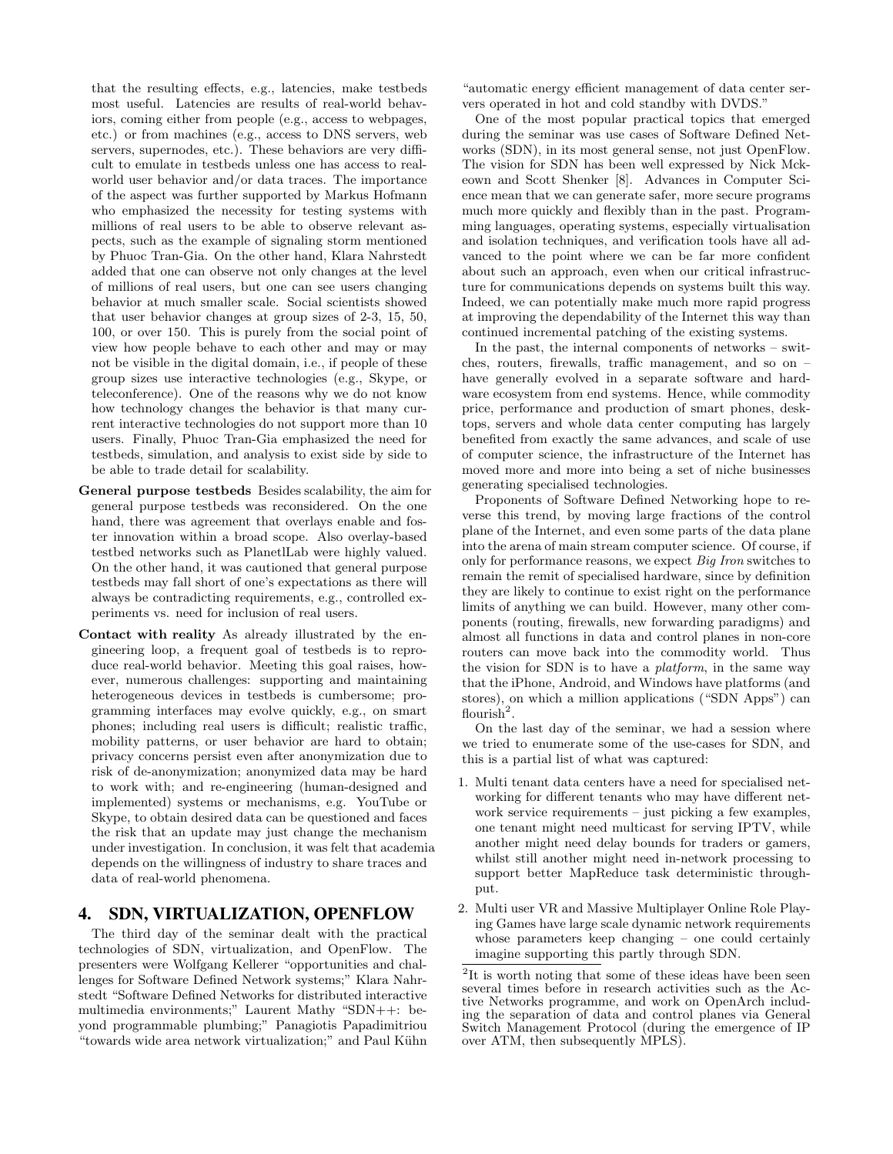that the resulting effects, e.g., latencies, make testbeds most useful. Latencies are results of real-world behaviors, coming either from people (e.g., access to webpages, etc.) or from machines (e.g., access to DNS servers, web servers, supernodes, etc.). These behaviors are very difficult to emulate in testbeds unless one has access to realworld user behavior and/or data traces. The importance of the aspect was further supported by Markus Hofmann who emphasized the necessity for testing systems with millions of real users to be able to observe relevant aspects, such as the example of signaling storm mentioned by Phuoc Tran-Gia. On the other hand, Klara Nahrstedt added that one can observe not only changes at the level of millions of real users, but one can see users changing behavior at much smaller scale. Social scientists showed that user behavior changes at group sizes of 2-3, 15, 50, 100, or over 150. This is purely from the social point of view how people behave to each other and may or may not be visible in the digital domain, i.e., if people of these group sizes use interactive technologies (e.g., Skype, or teleconference). One of the reasons why we do not know how technology changes the behavior is that many current interactive technologies do not support more than 10 users. Finally, Phuoc Tran-Gia emphasized the need for testbeds, simulation, and analysis to exist side by side to be able to trade detail for scalability.

- General purpose testbeds Besides scalability, the aim for general purpose testbeds was reconsidered. On the one hand, there was agreement that overlays enable and foster innovation within a broad scope. Also overlay-based testbed networks such as PlanetlLab were highly valued. On the other hand, it was cautioned that general purpose testbeds may fall short of one's expectations as there will always be contradicting requirements, e.g., controlled experiments vs. need for inclusion of real users.
- Contact with reality As already illustrated by the engineering loop, a frequent goal of testbeds is to reproduce real-world behavior. Meeting this goal raises, however, numerous challenges: supporting and maintaining heterogeneous devices in testbeds is cumbersome; programming interfaces may evolve quickly, e.g., on smart phones; including real users is difficult; realistic traffic, mobility patterns, or user behavior are hard to obtain; privacy concerns persist even after anonymization due to risk of de-anonymization; anonymized data may be hard to work with; and re-engineering (human-designed and implemented) systems or mechanisms, e.g. YouTube or Skype, to obtain desired data can be questioned and faces the risk that an update may just change the mechanism under investigation. In conclusion, it was felt that academia depends on the willingness of industry to share traces and data of real-world phenomena.

## 4. SDN, VIRTUALIZATION, OPENFLOW

The third day of the seminar dealt with the practical technologies of SDN, virtualization, and OpenFlow. The presenters were Wolfgang Kellerer "opportunities and challenges for Software Defined Network systems;" Klara Nahrstedt "Software Defined Networks for distributed interactive multimedia environments;" Laurent Mathy "SDN++: beyond programmable plumbing;" Panagiotis Papadimitriou "towards wide area network virtualization;" and Paul Kühn

"automatic energy efficient management of data center servers operated in hot and cold standby with DVDS."

One of the most popular practical topics that emerged during the seminar was use cases of Software Defined Networks (SDN), in its most general sense, not just OpenFlow. The vision for SDN has been well expressed by Nick Mckeown and Scott Shenker [8]. Advances in Computer Science mean that we can generate safer, more secure programs much more quickly and flexibly than in the past. Programming languages, operating systems, especially virtualisation and isolation techniques, and verification tools have all advanced to the point where we can be far more confident about such an approach, even when our critical infrastructure for communications depends on systems built this way. Indeed, we can potentially make much more rapid progress at improving the dependability of the Internet this way than continued incremental patching of the existing systems.

In the past, the internal components of networks – switches, routers, firewalls, traffic management, and so on – have generally evolved in a separate software and hardware ecosystem from end systems. Hence, while commodity price, performance and production of smart phones, desktops, servers and whole data center computing has largely benefited from exactly the same advances, and scale of use of computer science, the infrastructure of the Internet has moved more and more into being a set of niche businesses generating specialised technologies.

Proponents of Software Defined Networking hope to reverse this trend, by moving large fractions of the control plane of the Internet, and even some parts of the data plane into the arena of main stream computer science. Of course, if only for performance reasons, we expect Big Iron switches to remain the remit of specialised hardware, since by definition they are likely to continue to exist right on the performance limits of anything we can build. However, many other components (routing, firewalls, new forwarding paradigms) and almost all functions in data and control planes in non-core routers can move back into the commodity world. Thus the vision for SDN is to have a platform, in the same way that the iPhone, Android, and Windows have platforms (and stores), on which a million applications ("SDN Apps") can flourish<sup>2</sup>.

On the last day of the seminar, we had a session where we tried to enumerate some of the use-cases for SDN, and this is a partial list of what was captured:

- 1. Multi tenant data centers have a need for specialised networking for different tenants who may have different network service requirements – just picking a few examples, one tenant might need multicast for serving IPTV, while another might need delay bounds for traders or gamers, whilst still another might need in-network processing to support better MapReduce task deterministic throughput.
- 2. Multi user VR and Massive Multiplayer Online Role Playing Games have large scale dynamic network requirements whose parameters keep changing – one could certainly imagine supporting this partly through SDN.

<sup>&</sup>lt;sup>2</sup>It is worth noting that some of these ideas have been seen several times before in research activities such as the Active Networks programme, and work on OpenArch including the separation of data and control planes via General Switch Management Protocol (during the emergence of IP over ATM, then subsequently MPLS).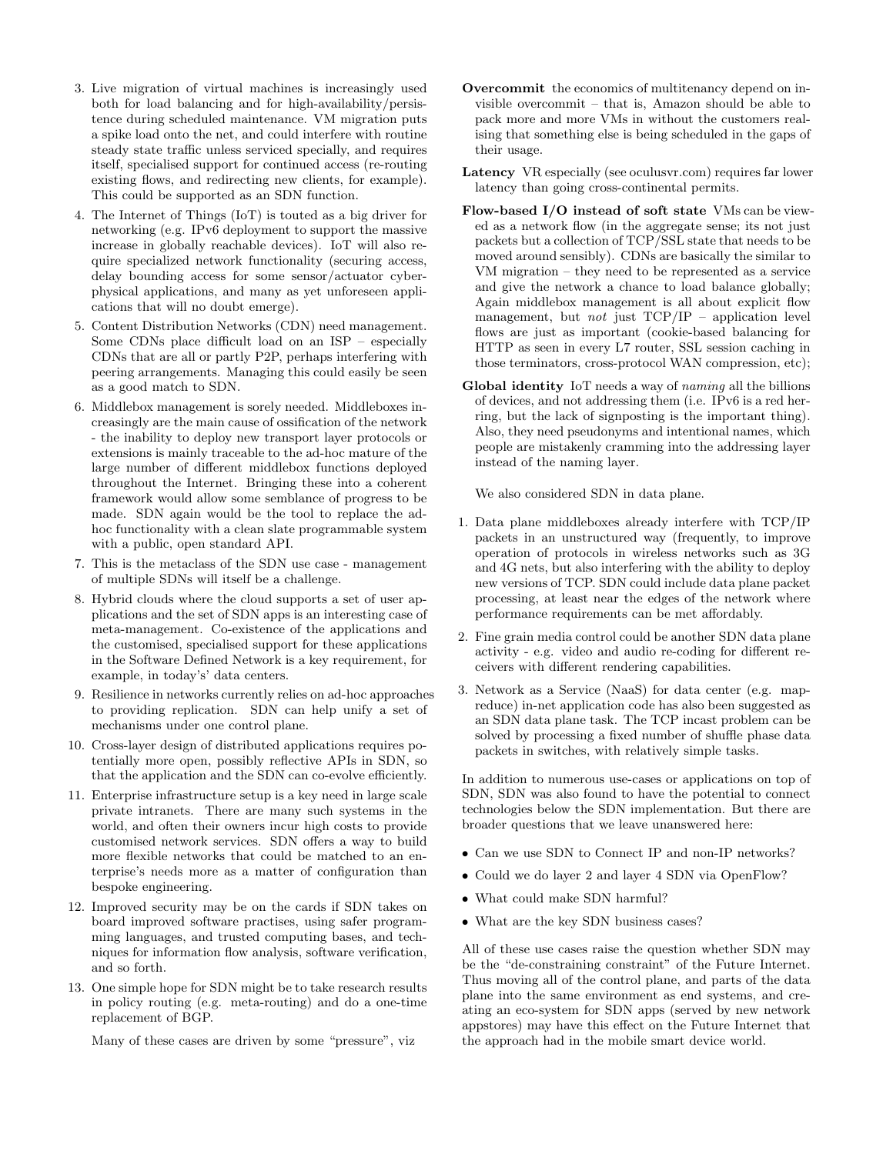- 3. Live migration of virtual machines is increasingly used both for load balancing and for high-availability/persistence during scheduled maintenance. VM migration puts a spike load onto the net, and could interfere with routine steady state traffic unless serviced specially, and requires itself, specialised support for continued access (re-routing existing flows, and redirecting new clients, for example). This could be supported as an SDN function.
- 4. The Internet of Things (IoT) is touted as a big driver for networking (e.g. IPv6 deployment to support the massive increase in globally reachable devices). IoT will also require specialized network functionality (securing access, delay bounding access for some sensor/actuator cyberphysical applications, and many as yet unforeseen applications that will no doubt emerge).
- 5. Content Distribution Networks (CDN) need management. Some CDNs place difficult load on an ISP – especially CDNs that are all or partly P2P, perhaps interfering with peering arrangements. Managing this could easily be seen as a good match to SDN.
- 6. Middlebox management is sorely needed. Middleboxes increasingly are the main cause of ossification of the network - the inability to deploy new transport layer protocols or extensions is mainly traceable to the ad-hoc mature of the large number of different middlebox functions deployed throughout the Internet. Bringing these into a coherent framework would allow some semblance of progress to be made. SDN again would be the tool to replace the adhoc functionality with a clean slate programmable system with a public, open standard API.
- 7. This is the metaclass of the SDN use case management of multiple SDNs will itself be a challenge.
- 8. Hybrid clouds where the cloud supports a set of user applications and the set of SDN apps is an interesting case of meta-management. Co-existence of the applications and the customised, specialised support for these applications in the Software Defined Network is a key requirement, for example, in today's' data centers.
- 9. Resilience in networks currently relies on ad-hoc approaches to providing replication. SDN can help unify a set of mechanisms under one control plane.
- 10. Cross-layer design of distributed applications requires potentially more open, possibly reflective APIs in SDN, so that the application and the SDN can co-evolve efficiently.
- 11. Enterprise infrastructure setup is a key need in large scale private intranets. There are many such systems in the world, and often their owners incur high costs to provide customised network services. SDN offers a way to build more flexible networks that could be matched to an enterprise's needs more as a matter of configuration than bespoke engineering.
- 12. Improved security may be on the cards if SDN takes on board improved software practises, using safer programming languages, and trusted computing bases, and techniques for information flow analysis, software verification, and so forth.
- 13. One simple hope for SDN might be to take research results in policy routing (e.g. meta-routing) and do a one-time replacement of BGP.

Many of these cases are driven by some "pressure", viz

- Overcommit the economics of multitenancy depend on invisible overcommit – that is, Amazon should be able to pack more and more VMs in without the customers realising that something else is being scheduled in the gaps of their usage.
- Latency VR especially (see oculusvr.com) requires far lower latency than going cross-continental permits.
- Flow-based I/O instead of soft state VMs can be viewed as a network flow (in the aggregate sense; its not just packets but a collection of TCP/SSL state that needs to be moved around sensibly). CDNs are basically the similar to VM migration – they need to be represented as a service and give the network a chance to load balance globally; Again middlebox management is all about explicit flow management, but *not* just  $TCP/IP - application level$ flows are just as important (cookie-based balancing for HTTP as seen in every L7 router, SSL session caching in those terminators, cross-protocol WAN compression, etc);
- Global identity IoT needs a way of naming all the billions of devices, and not addressing them (i.e. IPv6 is a red herring, but the lack of signposting is the important thing). Also, they need pseudonyms and intentional names, which people are mistakenly cramming into the addressing layer instead of the naming layer.

We also considered SDN in data plane.

- 1. Data plane middleboxes already interfere with TCP/IP packets in an unstructured way (frequently, to improve operation of protocols in wireless networks such as 3G and 4G nets, but also interfering with the ability to deploy new versions of TCP. SDN could include data plane packet processing, at least near the edges of the network where performance requirements can be met affordably.
- 2. Fine grain media control could be another SDN data plane activity - e.g. video and audio re-coding for different receivers with different rendering capabilities.
- 3. Network as a Service (NaaS) for data center (e.g. mapreduce) in-net application code has also been suggested as an SDN data plane task. The TCP incast problem can be solved by processing a fixed number of shuffle phase data packets in switches, with relatively simple tasks.

In addition to numerous use-cases or applications on top of SDN, SDN was also found to have the potential to connect technologies below the SDN implementation. But there are broader questions that we leave unanswered here:

- Can we use SDN to Connect IP and non-IP networks?
- Could we do layer 2 and layer 4 SDN via OpenFlow?
- What could make SDN harmful?
- What are the key SDN business cases?

All of these use cases raise the question whether SDN may be the "de-constraining constraint" of the Future Internet. Thus moving all of the control plane, and parts of the data plane into the same environment as end systems, and creating an eco-system for SDN apps (served by new network appstores) may have this effect on the Future Internet that the approach had in the mobile smart device world.